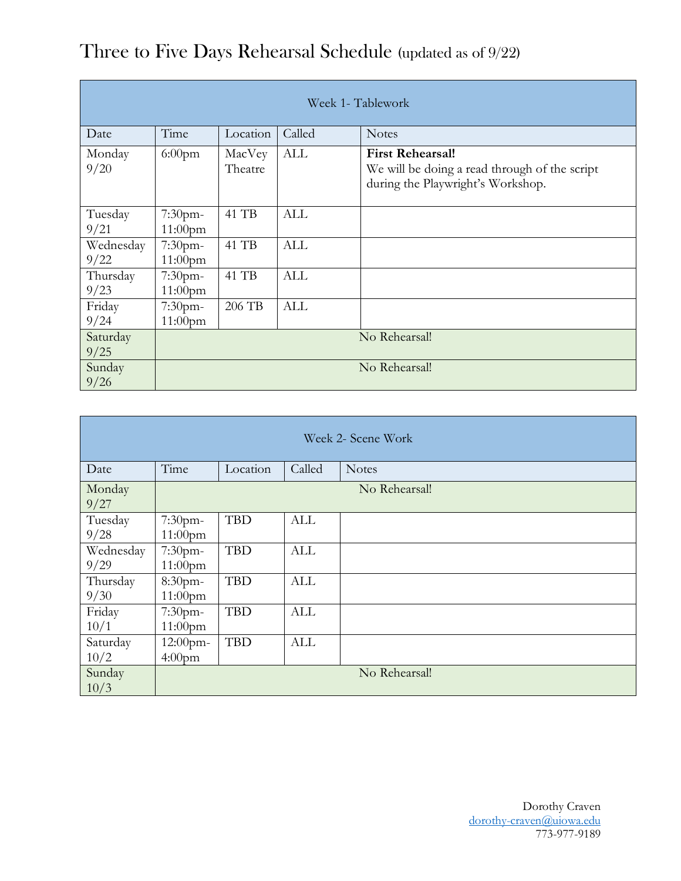| Week 1- Tablework |                          |                   |            |                                                                                                               |  |
|-------------------|--------------------------|-------------------|------------|---------------------------------------------------------------------------------------------------------------|--|
| Date              | Time                     | Location          | Called     | <b>Notes</b>                                                                                                  |  |
| Monday<br>9/20    | $6:00$ pm                | MacVey<br>Theatre | ALL        | <b>First Rehearsal!</b><br>We will be doing a read through of the script<br>during the Playwright's Workshop. |  |
| Tuesday<br>9/21   | $7:30$ pm-<br>$11:00$ pm | 41 TB             | <b>ALL</b> |                                                                                                               |  |
| Wednesday<br>9/22 | 7:30pm-<br>$11:00$ pm    | 41 TB             | <b>ALL</b> |                                                                                                               |  |
| Thursday<br>9/23  | 7:30pm-<br>$11:00$ pm    | 41 TB             | <b>ALL</b> |                                                                                                               |  |
| Friday<br>9/24    | 7:30pm-<br>$11:00$ pm    | 206 TB            | <b>ALL</b> |                                                                                                               |  |
| Saturday<br>9/25  | No Rehearsal!            |                   |            |                                                                                                               |  |
| Sunday<br>9/26    | No Rehearsal!            |                   |            |                                                                                                               |  |

## Three to Five Days Rehearsal Schedule (updated as of 9/22)

| Week 2- Scene Work |                                   |            |            |               |  |
|--------------------|-----------------------------------|------------|------------|---------------|--|
| Date               | Time                              | Location   | Called     | <b>Notes</b>  |  |
| Monday<br>9/27     | No Rehearsal!                     |            |            |               |  |
| Tuesday<br>9/28    | 7:30pm-<br>$11:00$ pm             | <b>TBD</b> | ALL        |               |  |
| Wednesday<br>9/29  | 7:30pm-<br>$11:00$ pm             | <b>TBD</b> | <b>ALL</b> |               |  |
| Thursday<br>9/30   | 8:30pm-<br>$11:00$ pm             | <b>TBD</b> | <b>ALL</b> |               |  |
| Friday<br>10/1     | 7:30pm-<br>$11:00$ pm             | <b>TBD</b> | <b>ALL</b> |               |  |
| Saturday<br>10/2   | $12:00$ pm-<br>4:00 <sub>pm</sub> | <b>TBD</b> | <b>ALL</b> |               |  |
| Sunday<br>10/3     |                                   |            |            | No Rehearsal! |  |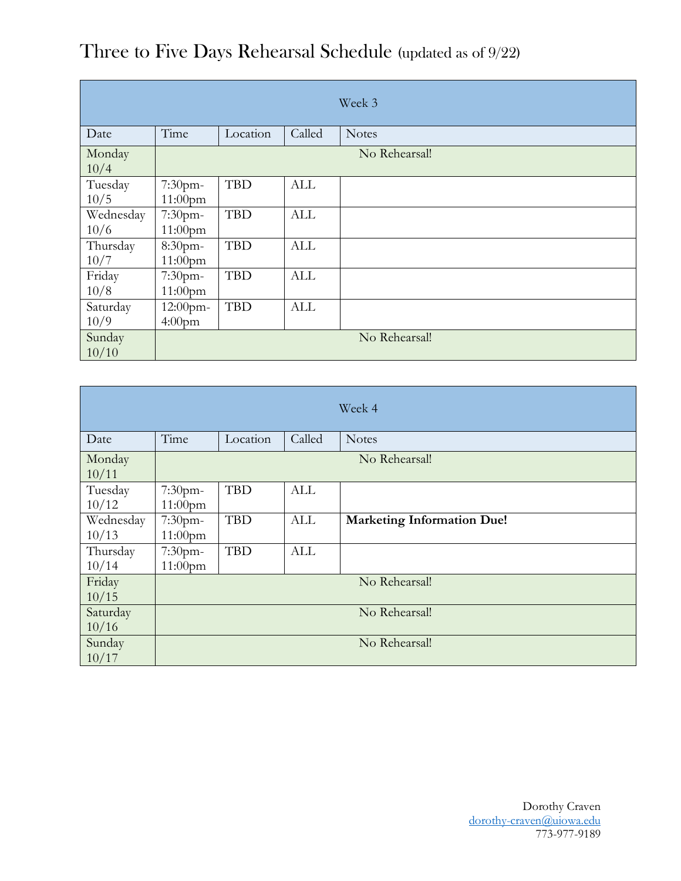|                |               |            |            | Week 3        |  |
|----------------|---------------|------------|------------|---------------|--|
| Date           | Time          | Location   | Called     | <b>Notes</b>  |  |
| Monday<br>10/4 | No Rehearsal! |            |            |               |  |
| Tuesday        | 7:30pm-       | <b>TBD</b> | ALL        |               |  |
| 10/5           | $11:00$ pm    |            |            |               |  |
| Wednesday      | 7:30pm-       | <b>TBD</b> | <b>ALL</b> |               |  |
| 10/6           | $11:00$ pm    |            |            |               |  |
| Thursday       | 8:30pm-       | <b>TBD</b> | ALL        |               |  |
| 10/7           | $11:00$ pm    |            |            |               |  |
| Friday         | 7:30pm-       | <b>TBD</b> | <b>ALL</b> |               |  |
| 10/8           | $11:00$ pm    |            |            |               |  |
| Saturday       | 12:00pm-      | <b>TBD</b> | <b>ALL</b> |               |  |
| 10/9           | $4:00$ pm     |            |            |               |  |
| Sunday         |               |            |            | No Rehearsal! |  |
| 10/10          |               |            |            |               |  |

Three to Five Days Rehearsal Schedule (updated as of 9/22)

| Week 4             |                          |            |            |                                   |  |
|--------------------|--------------------------|------------|------------|-----------------------------------|--|
| Date               | Time                     | Location   | Called     | <b>Notes</b>                      |  |
| Monday<br>10/11    | No Rehearsal!            |            |            |                                   |  |
| Tuesday<br>10/12   | 7:30pm-<br>$11:00$ pm    | <b>TBD</b> | <b>ALL</b> |                                   |  |
| Wednesday<br>10/13 | 7:30pm-<br>$11:00$ pm    | <b>TBD</b> | ALL        | <b>Marketing Information Due!</b> |  |
| Thursday<br>10/14  | $7:30$ pm-<br>$11:00$ pm | <b>TBD</b> | ALL        |                                   |  |
| Friday<br>10/15    | No Rehearsal!            |            |            |                                   |  |
| Saturday<br>10/16  | No Rehearsal!            |            |            |                                   |  |
| Sunday<br>10/17    | No Rehearsal!            |            |            |                                   |  |